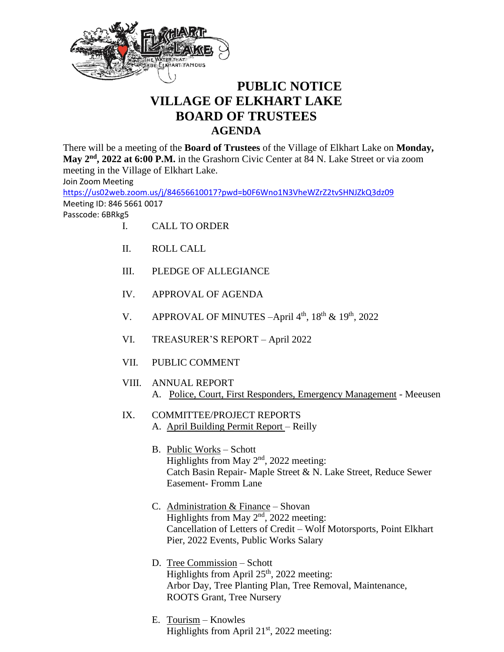

## **PUBLIC NOTICE VILLAGE OF ELKHART LAKE BOARD OF TRUSTEES AGENDA**

There will be a meeting of the **Board of Trustees** of the Village of Elkhart Lake on **Monday,**  May 2<sup>nd</sup>, 2022 at 6:00 P.M. in the Grashorn Civic Center at 84 N. Lake Street or via zoom meeting in the Village of Elkhart Lake.

Join Zoom Meeting

<https://us02web.zoom.us/j/84656610017?pwd=b0F6Wno1N3VheWZrZ2tvSHNJZkQ3dz09> Meeting ID: 846 5661 0017

Passcode: 6BRkg5

- I. CALL TO ORDER
- II. ROLL CALL
- III. PLEDGE OF ALLEGIANCE
- IV. APPROVAL OF AGENDA
- V. APPROVAL OF MINUTES  $-April 4<sup>th</sup>$ ,  $18<sup>th</sup>$  &  $19<sup>th</sup>$ ,  $2022$
- VI. TREASURER'S REPORT April 2022
- VII. PUBLIC COMMENT
- VIII. ANNUAL REPORT A. Police, Court, First Responders, Emergency Management - Meeusen
- IX. COMMITTEE/PROJECT REPORTS A. April Building Permit Report – Reilly
	- B. Public Works Schott Highlights from May  $2<sup>nd</sup>$ , 2022 meeting: Catch Basin Repair- Maple Street & N. Lake Street, Reduce Sewer Easement- Fromm Lane
	- C. Administration & Finance Shovan Highlights from May  $2<sup>nd</sup>$ , 2022 meeting: Cancellation of Letters of Credit – Wolf Motorsports, Point Elkhart Pier, 2022 Events, Public Works Salary
	- D. Tree Commission Schott Highlights from April  $25<sup>th</sup>$ , 2022 meeting: Arbor Day, Tree Planting Plan, Tree Removal, Maintenance, ROOTS Grant, Tree Nursery
	- E. Tourism Knowles Highlights from April  $21<sup>st</sup>$ , 2022 meeting: